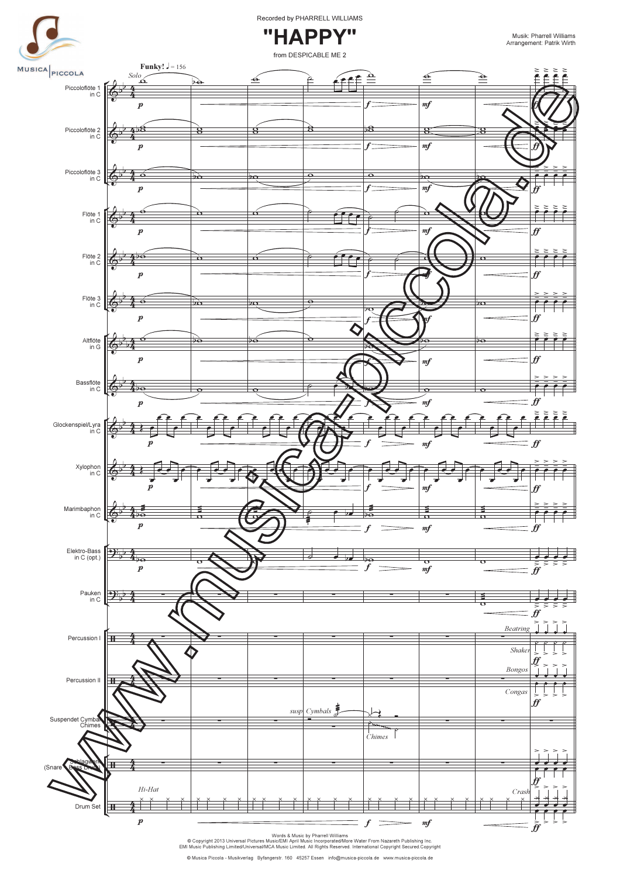

<sup>@</sup> Musica Piccola - Musikverlag Byfangerstr. 160 45257 Essen info@musica-piccola.de www.musica-piccola.de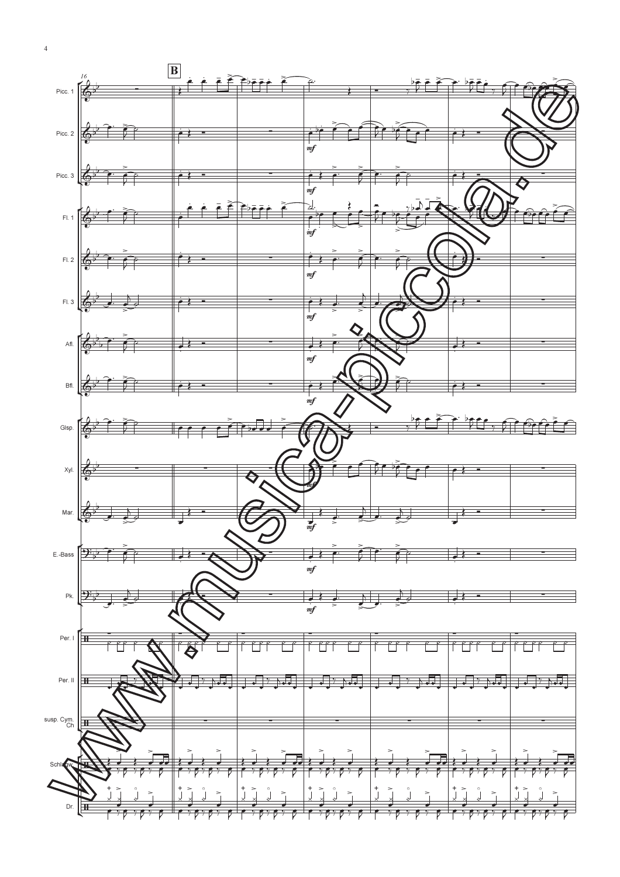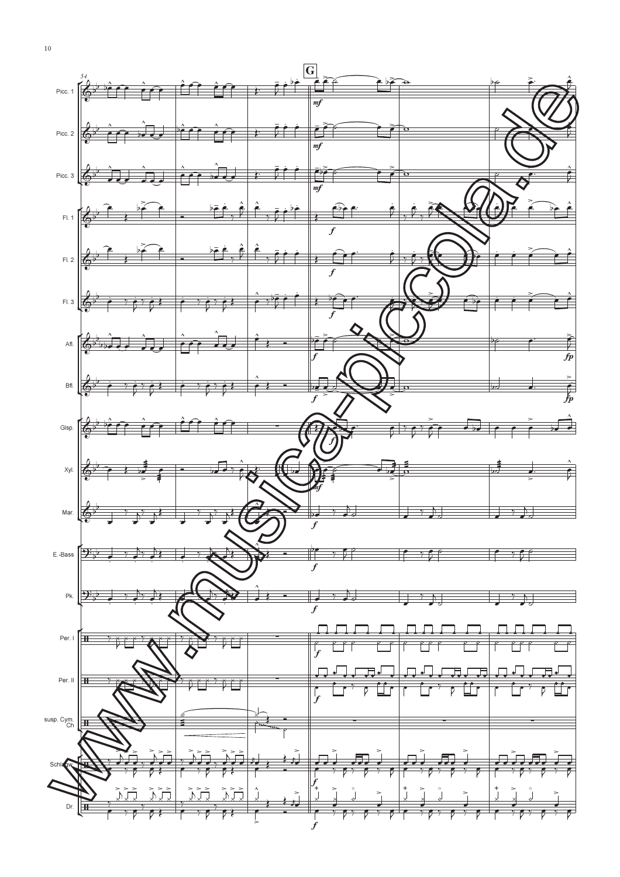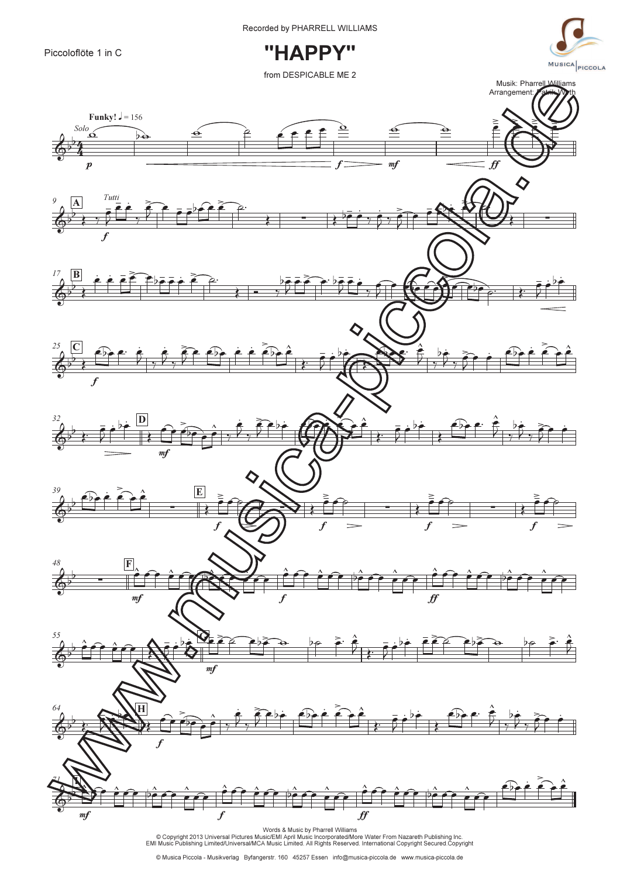## "HAPPY"







from DESPICABLE ME 2



Words & Music by Pharrell Williams<br>© Copyright 2013 Universal Pictures Music/EMI April Music Incorporated/More Water From Nazareth Publishing Inc<br>EMI Music Publishing Limited/Universal/MCA Music Limited. All Rights Reserve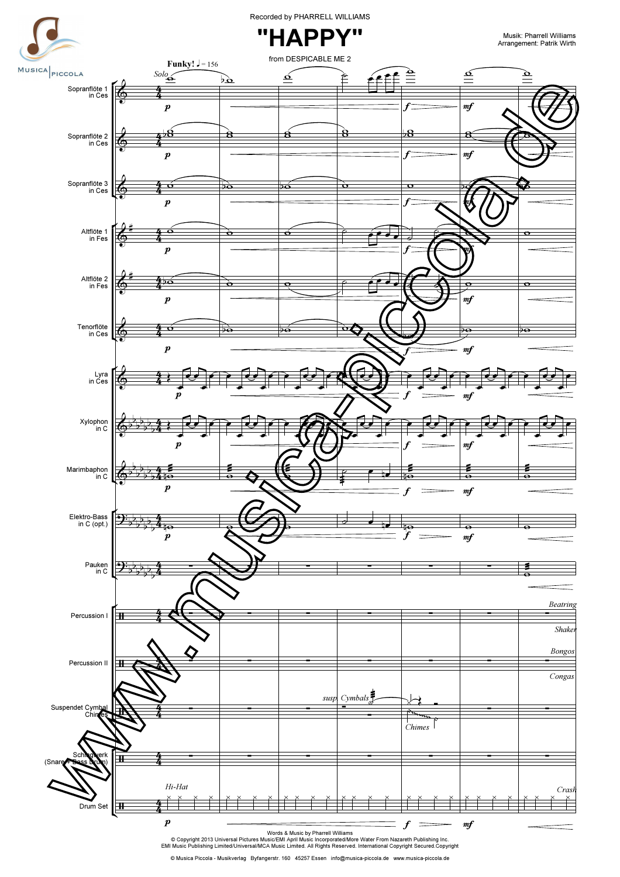

<sup>©</sup> Musica Piccola - Musikverlag Byfangerstr. 160 45257 Essen info@musica-piccola.de www.musica-piccola.de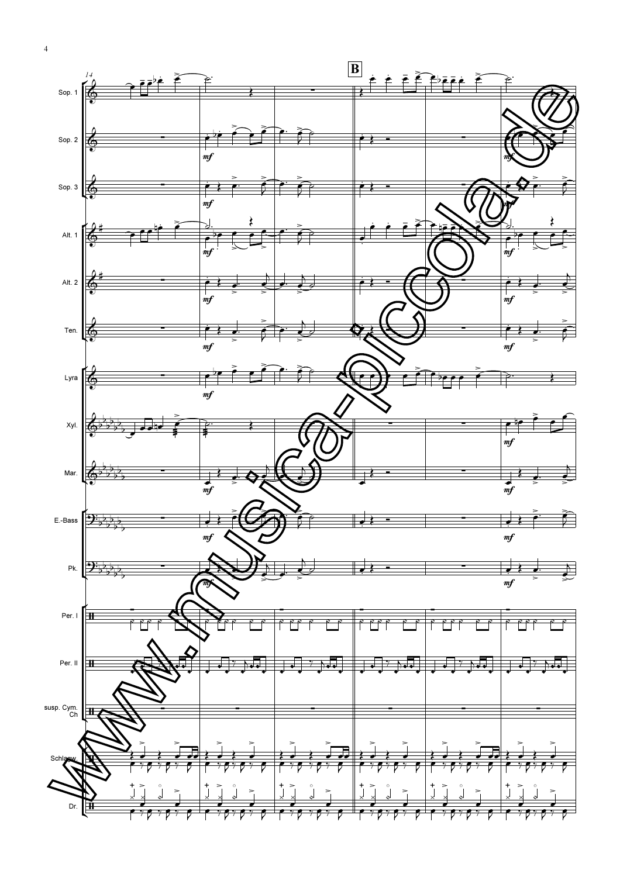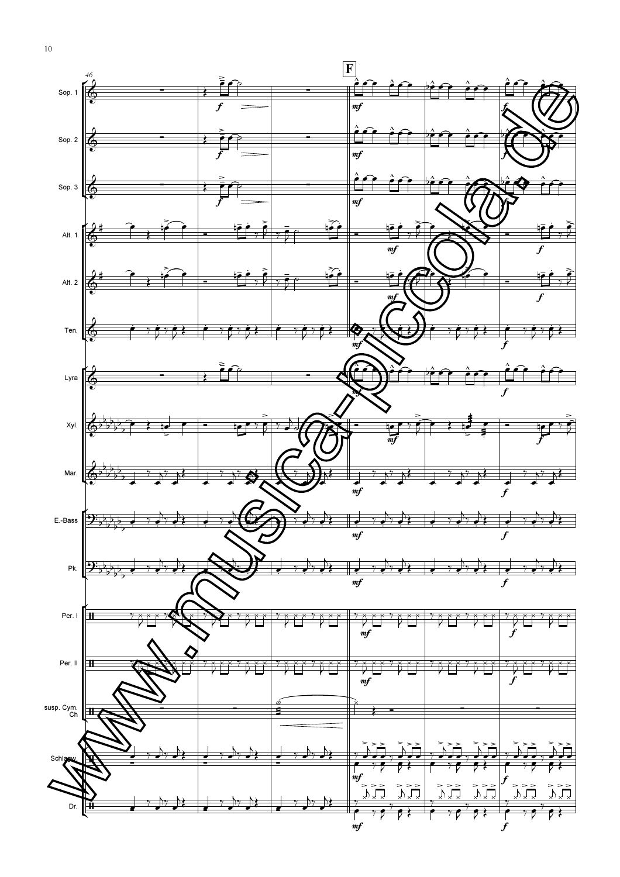